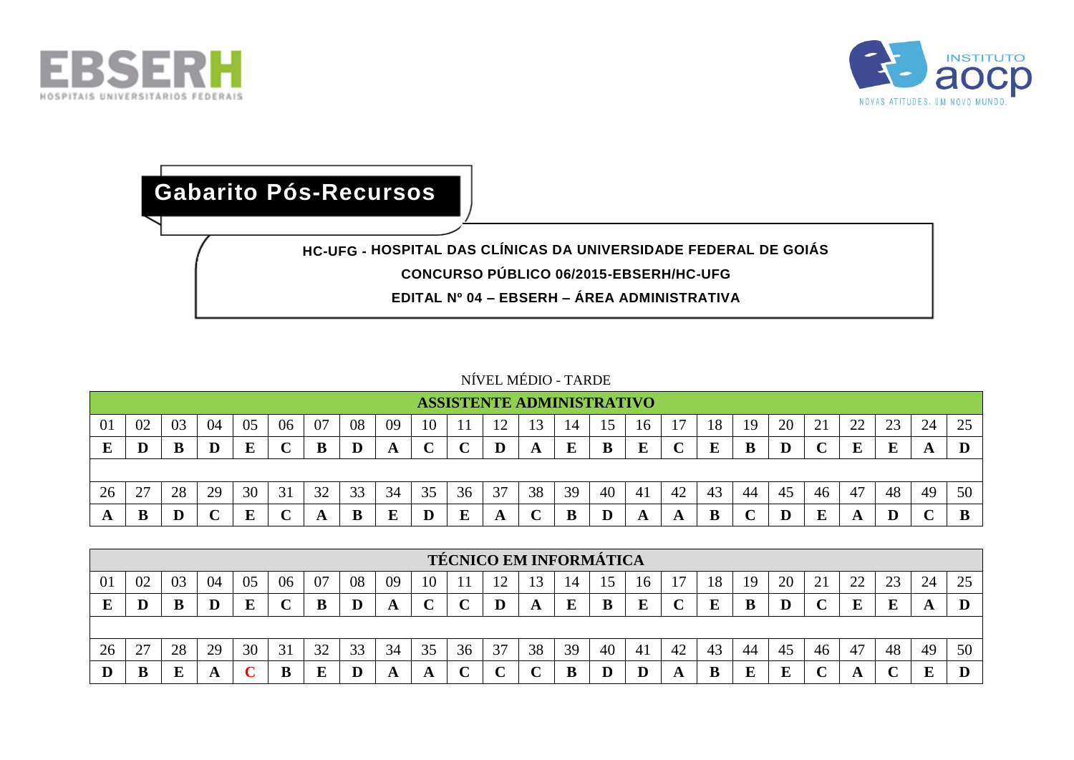



## **HC-UFG - HOSPITAL DAS CLÍNICAS DA UNIVERSIDADE FEDERAL DE GOIÁS CONCURSO PÚBLICO 06/2015-EBSERH/HC-UFG EDITAL Nº 04 – EBSERH – ÁREA ADMINISTRATIVA Gabarito Pós-Recursos**

## NÍVEL MÉDIO - TARDE

|    |         |    |    |    |        |    |         |    |    |    | <b>ASSISTENTE ADMINISTRATIVO</b> |    |    |    |    |    |    |    |    |    |          |    |              |    |
|----|---------|----|----|----|--------|----|---------|----|----|----|----------------------------------|----|----|----|----|----|----|----|----|----|----------|----|--------------|----|
| 01 | 02      | 03 | 04 | 05 | 06     | 07 | 08      | 09 | 10 |    |                                  |    | 14 |    | 16 |    | 18 | 19 | 20 | ◢  | າາ<br>∠∠ | 23 | 24           | 25 |
|    | $\bf D$ |    | D  |    | $\sim$ | B  | $\bf D$ |    | ֊  |    | $\bf D$                          | A  | E  | В  | E  |    | E  |    |    |    |          |    | $\mathbf{A}$ |    |
|    |         |    |    |    |        |    |         |    |    |    |                                  |    |    |    |    |    |    |    |    |    |          |    |              |    |
| 26 | 27      | 28 | 29 | 30 | 31     | 32 | 33      | 34 | 35 | 36 | 37                               | 38 | 39 | 40 | 41 | 42 | 43 | 44 | 45 | 46 | 47       | 48 | 49           | 50 |
|    | B       |    |    |    |        |    | B       |    | D  | E  | A                                |    | B  |    |    |    |    |    |    |    |          |    |              | B  |

|                |                                                                                                                      |    |    |    |    |    |    |    |    |    | <b>TÉCNICO EM INFORMÁTICA</b> |    |    |    |    |    |    |     |    |    |    |    |    |    |
|----------------|----------------------------------------------------------------------------------------------------------------------|----|----|----|----|----|----|----|----|----|-------------------------------|----|----|----|----|----|----|-----|----|----|----|----|----|----|
| 0 <sup>1</sup> | 08<br>04<br>25<br>06<br>20<br>24<br>02<br>07<br>09<br>03<br>つつ<br>າາ<br>05<br>10<br>18<br>19<br>14<br>16<br>∠⊥<br>∠∠ |    |    |    |    |    |    |    |    |    |                               |    |    |    |    |    |    |     |    |    |    |    |    |    |
|                |                                                                                                                      |    |    |    |    |    |    |    | ◡  |    |                               |    | E  |    | E  |    | E  |     |    |    | E  |    |    |    |
|                |                                                                                                                      |    |    |    |    |    |    |    |    |    |                               |    |    |    |    |    |    |     |    |    |    |    |    |    |
| 26             | 27<br>∼                                                                                                              | 28 | 29 | 30 | 31 | 32 | 33 | 34 | 35 | 36 | 37                            | 38 | 39 | 40 | 41 | 42 | 43 | -44 | 45 | 46 | 47 | 48 | 49 | 50 |
|                | B                                                                                                                    | Б  |    |    |    |    | D  |    | A  |    | ∼                             |    | B  |    |    |    | B  |     | E  |    |    |    | E  |    |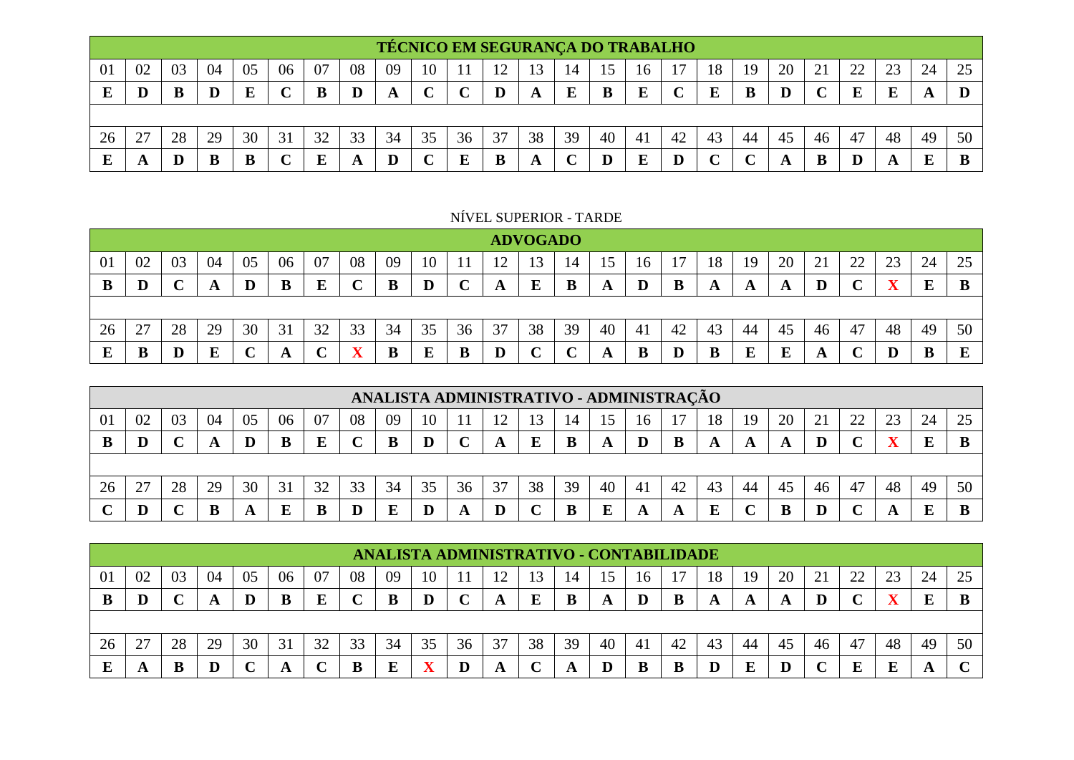|    |    |    |    |    |    |    |    |    |    |    |    |               |    |    |    | <b>TÉCNICO EM SEGURANÇA DO TRABALHO</b> |    |     |    |    |         |        |    |    |
|----|----|----|----|----|----|----|----|----|----|----|----|---------------|----|----|----|-----------------------------------------|----|-----|----|----|---------|--------|----|----|
| 01 | 02 | 03 | 04 | 05 | 06 | 07 | 08 | 09 | 10 |    | ി  | $\mathcal{R}$ | 14 |    | 10 |                                         | 18 | 19  | 20 | ◢  | າາ<br>∼ | $\cap$ | 24 | 25 |
|    | Ш  |    |    |    |    | г  |    | Ð  |    |    |    |               | F  |    |    |                                         | F  |     |    |    |         |        |    |    |
|    |    |    |    |    |    |    |    |    |    |    |    |               |    |    |    |                                         |    |     |    |    |         |        |    |    |
| 26 | 27 | 28 | 29 | 30 | 31 | 32 | 33 | 34 | 35 | 36 | 37 | 38            | 39 | 40 | 41 | 42                                      | 43 | -44 | 45 | 46 | 47      | 48     | 49 | 50 |
|    |    |    | E  | Е  |    |    |    |    |    |    |    |               |    |    |    |                                         |    |     |    |    |         |        |    |    |

NÍVEL SUPERIOR - TARDE

|    |    |    |    |    |    |    |    |    |           |    |    | <b>ADVOGADO</b> |    |    |          |    |    |    |    |          |    |         |    |          |
|----|----|----|----|----|----|----|----|----|-----------|----|----|-----------------|----|----|----------|----|----|----|----|----------|----|---------|----|----------|
| 01 | 02 | 03 | 04 | 05 | 06 | 07 | 08 | 09 | 10        |    | ി  | 13              | 14 | 15 | 16       |    | 18 | 19 | 20 | $\sim$ 1 | 22 | 23      | 24 | 25       |
| B  | D  |    | A  |    | B  | E  | 〜  | B  |           |    | A  | E               | B  | A  | $\bf{D}$ |    | A  | A  | A  |          |    |         | E  | B        |
|    |    |    |    |    |    |    |    |    |           |    |    |                 |    |    |          |    |    |    |    |          |    |         |    |          |
| 26 | 27 | 28 | 29 | 30 | 31 | 32 | 33 | 34 | 35        | 36 | 37 | 38              | 39 | 40 | -41      | 42 | 43 | 44 | 45 | 46       | 47 | 48      | 49 | 50       |
| E  | B  | D  | E  |    | A  |    |    | B  | ${\bf E}$ | В  |    |                 |    | A  | B        | D  | B  |    | E  |          |    | $\bf D$ |    | $\bf{E}$ |

|    |                                                                                                           |    |    |    |    |    |    |    |    |    |    |    |    |    | ANALISTA ADMINISTRATIVO - ADMINISTRAÇÃO |    |    |    |    |    |    |    |    |
|----|-----------------------------------------------------------------------------------------------------------|----|----|----|----|----|----|----|----|----|----|----|----|----|-----------------------------------------|----|----|----|----|----|----|----|----|
| 01 | 20<br>24<br>02<br>25<br>-04<br>08<br>つつ<br>05<br>06<br>07<br>າາ<br>03<br>09<br>10<br>18<br>19<br>16<br>∠∠ |    |    |    |    |    |    |    |    |    |    |    |    |    |                                         |    |    |    |    |    |    |    |    |
|    |                                                                                                           |    |    |    | B  |    |    |    |    |    |    |    |    |    |                                         |    | A  |    |    |    |    | E  |    |
|    |                                                                                                           |    |    |    |    |    |    |    |    |    |    |    |    |    |                                         |    |    |    |    |    |    |    |    |
| 26 | 27<br>∠                                                                                                   | 28 | 29 | 30 | 31 | 32 | 33 | 34 | 35 | 36 | 37 | 38 | 39 | 40 | 41                                      | 42 | 43 | 45 | 46 | 47 | 48 | 49 | 50 |
|    |                                                                                                           |    |    |    | E  |    |    |    |    |    |    |    |    |    |                                         |    |    |    |    |    |    | E  |    |

|    |    |    |    |    |    |    |    |    |    |    |    |    |    |    | ANALISTA ADMINISTRATIVO - CONTABILIDADE |    |    |    |    |    |                      |        |    |    |
|----|----|----|----|----|----|----|----|----|----|----|----|----|----|----|-----------------------------------------|----|----|----|----|----|----------------------|--------|----|----|
| 01 | 02 | 03 | 04 | 05 | 06 | 07 | 08 | 09 | 10 |    |    |    | 14 |    | 10                                      |    | 18 | 19 | 20 | ↩. | $\gamma\gamma$<br>∠∠ | $\cap$ | 24 | 25 |
|    | D  |    |    |    |    |    | ◡  | B  | D  |    | A  | E  | B  | A  |                                         |    |    |    | A  |    |                      |        | E  | B  |
|    |    |    |    |    |    |    |    |    |    |    |    |    |    |    |                                         |    |    |    |    |    |                      |        |    |    |
|    |    |    |    |    |    |    |    |    |    |    |    |    |    |    |                                         |    |    |    |    |    |                      |        |    |    |
| 26 | 27 | 28 | 29 | 30 | 31 | 32 | 33 | 34 | 35 | 36 | 37 | 38 | 39 | 40 | 41                                      | 42 | 43 | 44 | 45 | 46 | 47                   | 48     | 49 | 50 |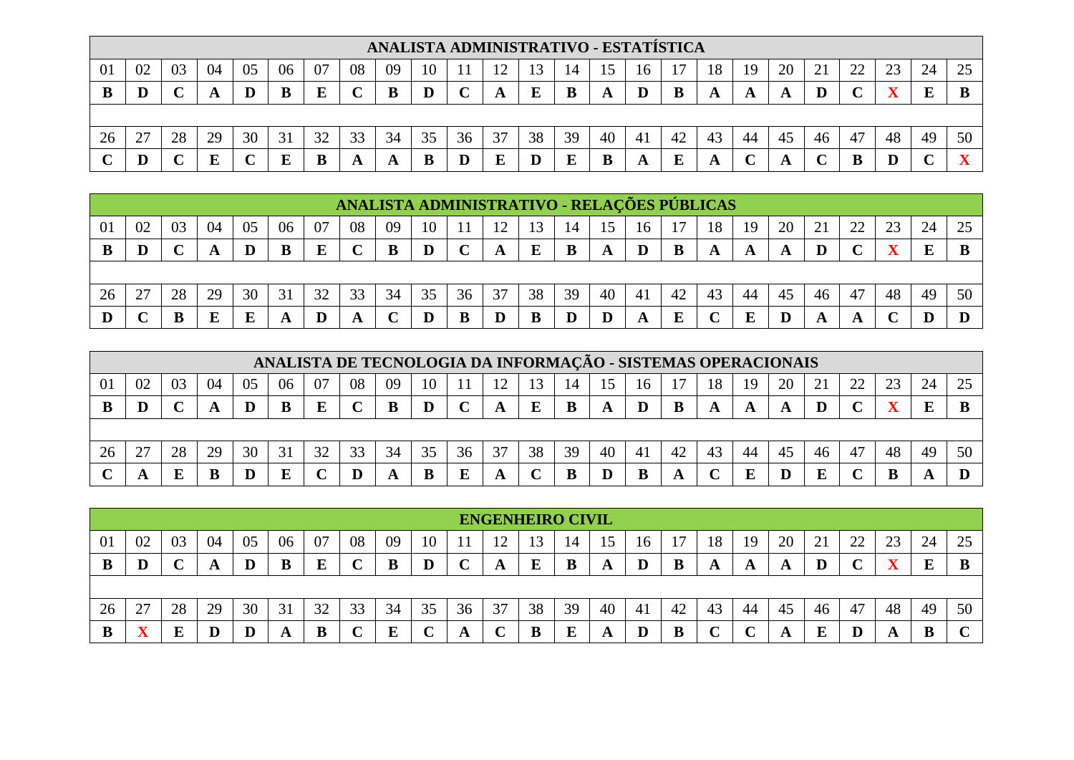|    |    |    |    |    |    |    |    |    |    |    |    |    |    |    |    | ANALISTA ADMINISTRATIVO - ESTATÍSTICA |    |    |             |     |          |                  |    |                         |
|----|----|----|----|----|----|----|----|----|----|----|----|----|----|----|----|---------------------------------------|----|----|-------------|-----|----------|------------------|----|-------------------------|
| 01 | 02 | 03 | 04 | 05 | 06 | 07 | 08 | 09 | 10 |    |    |    | 14 |    | 16 |                                       | 18 | 19 | 20          | د ت | າາ<br>∠∠ | ററ<br>$\angle$ 3 | 24 | 25                      |
|    |    |    |    |    | B  | Ε  | ╰  |    | D  |    | A  |    | B  |    | D  |                                       |    |    | $\mathbf A$ |     |          |                  | E  | B                       |
|    |    |    |    |    |    |    |    |    |    |    |    |    |    |    |    |                                       |    |    |             |     |          |                  |    |                         |
| 26 | 27 | 28 | 29 | 30 | 31 | 32 | 33 | 34 | 35 | 36 | 37 | 38 | 39 | 40 | 41 | 42                                    | 43 | 44 | 45          | 46  | 47       | 48               | 49 | 50                      |
|    |    |    |    |    | E  | B  | A  |    | B  |    | E  |    | г  |    |    |                                       | A  |    | A           |     |          |                  |    | $\overline{\mathbf{v}}$ |

|                |                                                                                                          |    |    |    |    |    |             | ANALISTA ADMINISTRATIVO - RELAÇÕES PÚBLICAS |    |    |    |           |    |    |    |    |    |    |    |    |    |    |    |    |
|----------------|----------------------------------------------------------------------------------------------------------|----|----|----|----|----|-------------|---------------------------------------------|----|----|----|-----------|----|----|----|----|----|----|----|----|----|----|----|----|
| $\overline{0}$ | 04<br>06<br>24<br>25<br>02<br>08<br>20<br>$\gamma$<br>03<br>05<br>07<br>23<br>09<br>10<br>18<br>19<br>Iб |    |    |    |    |    |             |                                             |    |    |    |           |    |    |    |    |    |    |    |    |    |    |    |    |
|                | D                                                                                                        |    |    | D  | B  |    | $\mathbf C$ | B                                           | D  |    |    | ${\bf E}$ | B  | A  |    |    | A  |    |    |    |    |    | E  | B  |
|                |                                                                                                          |    |    |    |    |    |             |                                             |    |    |    |           |    |    |    |    |    |    |    |    |    |    |    |    |
| 26             | 27                                                                                                       | 28 | 29 | 30 | 31 | 32 | 33          | 34                                          | 35 | 36 | 37 | 38        | 39 | 40 | 41 | 42 | 43 | 44 | 45 | 46 | 47 | 48 | 49 | 50 |
|                |                                                                                                          |    | E  |    |    |    | A           |                                             | D  |    |    | B         |    |    |    |    |    |    |    |    | A  |    |    |    |

|                |                                                                                                                |    |    |    | ANALISTA DE TECNOLOGIA DA INFORMAÇÃO - SISTEMAS OPERACIONAIS |    |    |    |    |    |    |    |    |    |    |    |    |    |    |    |    |    |    |    |
|----------------|----------------------------------------------------------------------------------------------------------------|----|----|----|--------------------------------------------------------------|----|----|----|----|----|----|----|----|----|----|----|----|----|----|----|----|----|----|----|
| 0 <sup>1</sup> | 25<br>24<br>04<br>07<br>02<br>06<br>08<br>20<br>າາ<br>03<br>05<br>10<br>09<br>۱ ೧<br>18<br>3<br>19<br>16<br>14 |    |    |    |                                                              |    |    |    |    |    |    |    |    |    |    |    |    |    |    |    |    |    |    |    |
|                |                                                                                                                |    |    |    |                                                              |    |    |    |    |    |    |    |    |    |    |    | A  |    |    |    |    |    | E  |    |
|                |                                                                                                                |    |    |    |                                                              |    |    |    |    |    |    |    |    |    |    |    |    |    |    |    |    |    |    |    |
| 26             |                                                                                                                | 28 | 29 | 30 | 31                                                           | 32 | 33 | 34 | 35 | 36 | 37 | 38 | 39 | 40 | 41 | 42 | 43 | 44 | 45 | 46 | 47 | 48 | 49 | 50 |
|                |                                                                                                                |    |    |    | г                                                            |    | D  |    | B  |    |    |    |    |    |    |    |    |    |    |    |    |    |    |    |

|    |    |    |    |    |    |    |    |    |    |    | <b>ENGENHEIRO CIVIL</b> |    |    |    |    |    |    |     |    |    |            |                      |    |        |
|----|----|----|----|----|----|----|----|----|----|----|-------------------------|----|----|----|----|----|----|-----|----|----|------------|----------------------|----|--------|
| 01 | 02 | 03 | 04 | 05 | 06 | 07 | 08 | 09 | 10 |    | ∸                       |    | 14 |    | 16 |    | 18 | 19  | 20 | ∠⊥ | າາ<br>ے بے | $\sim$<br>$\angle 3$ | 24 | 25     |
| B  | D  |    |    |    |    |    | ◡  |    | D  |    | A                       | г. | B  |    | D  |    |    | A   | A  |    |            |                      |    |        |
|    |    |    |    |    |    |    |    |    |    |    |                         |    |    |    |    |    |    |     |    |    |            |                      |    |        |
| 26 | 27 | 28 | 29 | 30 | 31 | 32 | 33 | 34 | 35 | 36 | 37                      | 38 | 39 | 40 | 41 | 42 | 43 | -44 | 45 | 46 | 47         | 48                   | 49 | 50     |
| B  |    |    |    |    | A  |    | ╰  |    |    |    | ◡                       | Е  | E  |    | D  |    |    |     | A  |    |            |                      |    | $\sim$ |